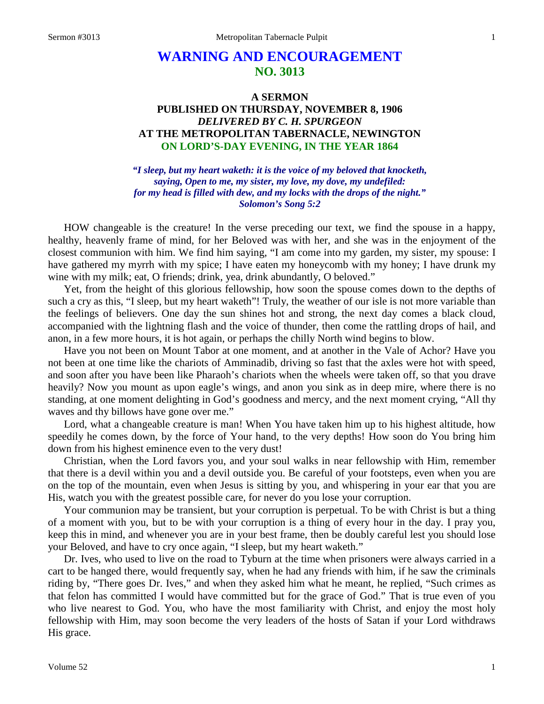## **WARNING AND ENCOURAGEMENT NO. 3013**

## **A SERMON PUBLISHED ON THURSDAY, NOVEMBER 8, 1906** *DELIVERED BY C. H. SPURGEON* **AT THE METROPOLITAN TABERNACLE, NEWINGTON ON LORD'S-DAY EVENING, IN THE YEAR 1864**

*"I sleep, but my heart waketh: it is the voice of my beloved that knocketh, saying, Open to me, my sister, my love, my dove, my undefiled: for my head is filled with dew, and my locks with the drops of the night." Solomon's Song 5:2*

HOW changeable is the creature! In the verse preceding our text, we find the spouse in a happy, healthy, heavenly frame of mind, for her Beloved was with her, and she was in the enjoyment of the closest communion with him. We find him saying, "I am come into my garden, my sister, my spouse: I have gathered my myrrh with my spice; I have eaten my honeycomb with my honey; I have drunk my wine with my milk; eat, O friends; drink, yea, drink abundantly, O beloved."

Yet, from the height of this glorious fellowship, how soon the spouse comes down to the depths of such a cry as this, "I sleep, but my heart waketh"! Truly, the weather of our isle is not more variable than the feelings of believers. One day the sun shines hot and strong, the next day comes a black cloud, accompanied with the lightning flash and the voice of thunder, then come the rattling drops of hail, and anon, in a few more hours, it is hot again, or perhaps the chilly North wind begins to blow.

Have you not been on Mount Tabor at one moment, and at another in the Vale of Achor? Have you not been at one time like the chariots of Amminadib, driving so fast that the axles were hot with speed, and soon after you have been like Pharaoh's chariots when the wheels were taken off, so that you drave heavily? Now you mount as upon eagle's wings, and anon you sink as in deep mire, where there is no standing, at one moment delighting in God's goodness and mercy, and the next moment crying, "All thy waves and thy billows have gone over me."

Lord, what a changeable creature is man! When You have taken him up to his highest altitude, how speedily he comes down, by the force of Your hand, to the very depths! How soon do You bring him down from his highest eminence even to the very dust!

Christian, when the Lord favors you, and your soul walks in near fellowship with Him, remember that there is a devil within you and a devil outside you. Be careful of your footsteps, even when you are on the top of the mountain, even when Jesus is sitting by you, and whispering in your ear that you are His, watch you with the greatest possible care, for never do you lose your corruption.

Your communion may be transient, but your corruption is perpetual. To be with Christ is but a thing of a moment with you, but to be with your corruption is a thing of every hour in the day. I pray you, keep this in mind, and whenever you are in your best frame, then be doubly careful lest you should lose your Beloved, and have to cry once again, "I sleep, but my heart waketh."

Dr. Ives, who used to live on the road to Tyburn at the time when prisoners were always carried in a cart to be hanged there, would frequently say, when he had any friends with him, if he saw the criminals riding by, "There goes Dr. Ives," and when they asked him what he meant, he replied, "Such crimes as that felon has committed I would have committed but for the grace of God." That is true even of you who live nearest to God. You, who have the most familiarity with Christ, and enjoy the most holy fellowship with Him, may soon become the very leaders of the hosts of Satan if your Lord withdraws His grace.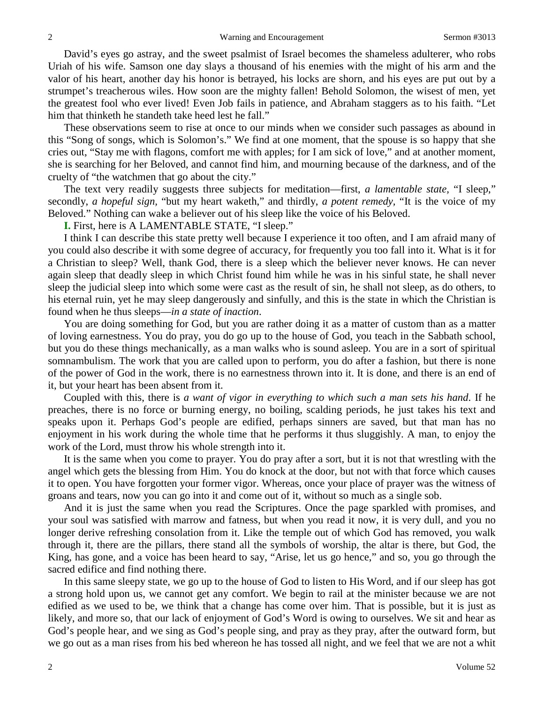David's eyes go astray, and the sweet psalmist of Israel becomes the shameless adulterer, who robs Uriah of his wife. Samson one day slays a thousand of his enemies with the might of his arm and the valor of his heart, another day his honor is betrayed, his locks are shorn, and his eyes are put out by a strumpet's treacherous wiles. How soon are the mighty fallen! Behold Solomon, the wisest of men, yet the greatest fool who ever lived! Even Job fails in patience, and Abraham staggers as to his faith. "Let him that thinketh he standeth take heed lest he fall."

These observations seem to rise at once to our minds when we consider such passages as abound in this "Song of songs, which is Solomon's." We find at one moment, that the spouse is so happy that she cries out, "Stay me with flagons, comfort me with apples; for I am sick of love," and at another moment, she is searching for her Beloved, and cannot find him, and mourning because of the darkness, and of the cruelty of "the watchmen that go about the city."

The text very readily suggests three subjects for meditation—first, *a lamentable state,* "I sleep," secondly, *a hopeful sign,* "but my heart waketh," and thirdly, *a potent remedy,* "It is the voice of my Beloved." Nothing can wake a believer out of his sleep like the voice of his Beloved.

**I.** First, here is A LAMENTABLE STATE, "I sleep."

I think I can describe this state pretty well because I experience it too often, and I am afraid many of you could also describe it with some degree of accuracy, for frequently you too fall into it. What is it for a Christian to sleep? Well, thank God, there is a sleep which the believer never knows. He can never again sleep that deadly sleep in which Christ found him while he was in his sinful state, he shall never sleep the judicial sleep into which some were cast as the result of sin, he shall not sleep, as do others, to his eternal ruin, yet he may sleep dangerously and sinfully, and this is the state in which the Christian is found when he thus sleeps—*in a state of inaction*.

You are doing something for God, but you are rather doing it as a matter of custom than as a matter of loving earnestness. You do pray, you do go up to the house of God, you teach in the Sabbath school, but you do these things mechanically, as a man walks who is sound asleep. You are in a sort of spiritual somnambulism. The work that you are called upon to perform, you do after a fashion, but there is none of the power of God in the work, there is no earnestness thrown into it. It is done, and there is an end of it, but your heart has been absent from it.

Coupled with this, there is *a want of vigor in everything to which such a man sets his hand*. If he preaches, there is no force or burning energy, no boiling, scalding periods, he just takes his text and speaks upon it. Perhaps God's people are edified, perhaps sinners are saved, but that man has no enjoyment in his work during the whole time that he performs it thus sluggishly. A man, to enjoy the work of the Lord, must throw his whole strength into it.

It is the same when you come to prayer. You do pray after a sort, but it is not that wrestling with the angel which gets the blessing from Him. You do knock at the door, but not with that force which causes it to open. You have forgotten your former vigor. Whereas, once your place of prayer was the witness of groans and tears, now you can go into it and come out of it, without so much as a single sob.

And it is just the same when you read the Scriptures. Once the page sparkled with promises, and your soul was satisfied with marrow and fatness, but when you read it now, it is very dull, and you no longer derive refreshing consolation from it. Like the temple out of which God has removed, you walk through it, there are the pillars, there stand all the symbols of worship, the altar is there, but God, the King, has gone, and a voice has been heard to say, "Arise, let us go hence," and so, you go through the sacred edifice and find nothing there.

In this same sleepy state, we go up to the house of God to listen to His Word, and if our sleep has got a strong hold upon us, we cannot get any comfort. We begin to rail at the minister because we are not edified as we used to be, we think that a change has come over him. That is possible, but it is just as likely, and more so, that our lack of enjoyment of God's Word is owing to ourselves. We sit and hear as God's people hear, and we sing as God's people sing, and pray as they pray, after the outward form, but we go out as a man rises from his bed whereon he has tossed all night, and we feel that we are not a whit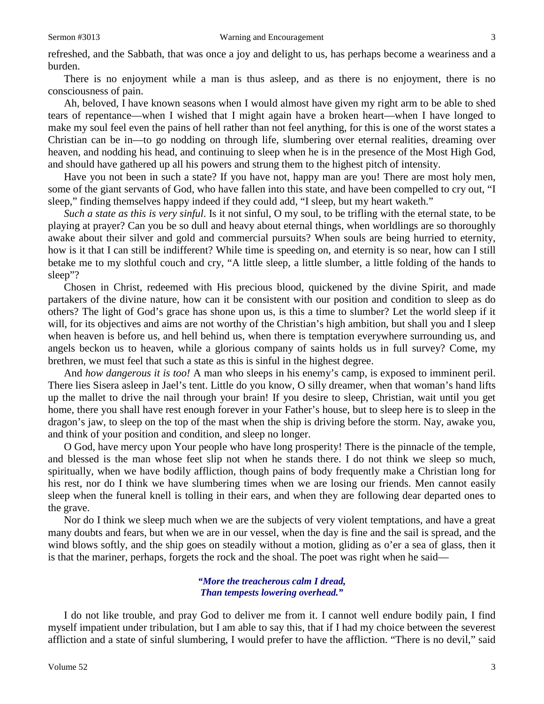refreshed, and the Sabbath, that was once a joy and delight to us, has perhaps become a weariness and a burden.

There is no enjoyment while a man is thus asleep, and as there is no enjoyment, there is no consciousness of pain.

Ah, beloved, I have known seasons when I would almost have given my right arm to be able to shed tears of repentance—when I wished that I might again have a broken heart—when I have longed to make my soul feel even the pains of hell rather than not feel anything, for this is one of the worst states a Christian can be in—to go nodding on through life, slumbering over eternal realities, dreaming over heaven, and nodding his head, and continuing to sleep when he is in the presence of the Most High God, and should have gathered up all his powers and strung them to the highest pitch of intensity.

Have you not been in such a state? If you have not, happy man are you! There are most holy men, some of the giant servants of God, who have fallen into this state, and have been compelled to cry out, "I sleep," finding themselves happy indeed if they could add, "I sleep, but my heart waketh."

*Such a state as this is very sinful*. Is it not sinful, O my soul, to be trifling with the eternal state, to be playing at prayer? Can you be so dull and heavy about eternal things, when worldlings are so thoroughly awake about their silver and gold and commercial pursuits? When souls are being hurried to eternity, how is it that I can still be indifferent? While time is speeding on, and eternity is so near, how can I still betake me to my slothful couch and cry, "A little sleep, a little slumber, a little folding of the hands to sleep"?

Chosen in Christ, redeemed with His precious blood, quickened by the divine Spirit, and made partakers of the divine nature, how can it be consistent with our position and condition to sleep as do others? The light of God's grace has shone upon us, is this a time to slumber? Let the world sleep if it will, for its objectives and aims are not worthy of the Christian's high ambition, but shall you and I sleep when heaven is before us, and hell behind us, when there is temptation everywhere surrounding us, and angels beckon us to heaven, while a glorious company of saints holds us in full survey? Come, my brethren, we must feel that such a state as this is sinful in the highest degree.

And *how dangerous it is too!* A man who sleeps in his enemy's camp, is exposed to imminent peril. There lies Sisera asleep in Jael's tent. Little do you know, O silly dreamer, when that woman's hand lifts up the mallet to drive the nail through your brain! If you desire to sleep, Christian, wait until you get home, there you shall have rest enough forever in your Father's house, but to sleep here is to sleep in the dragon's jaw, to sleep on the top of the mast when the ship is driving before the storm. Nay, awake you, and think of your position and condition, and sleep no longer.

O God, have mercy upon Your people who have long prosperity! There is the pinnacle of the temple, and blessed is the man whose feet slip not when he stands there. I do not think we sleep so much, spiritually, when we have bodily affliction, though pains of body frequently make a Christian long for his rest, nor do I think we have slumbering times when we are losing our friends. Men cannot easily sleep when the funeral knell is tolling in their ears, and when they are following dear departed ones to the grave.

Nor do I think we sleep much when we are the subjects of very violent temptations, and have a great many doubts and fears, but when we are in our vessel, when the day is fine and the sail is spread, and the wind blows softly, and the ship goes on steadily without a motion, gliding as o'er a sea of glass, then it is that the mariner, perhaps, forgets the rock and the shoal. The poet was right when he said—

> *"More the treacherous calm I dread, Than tempests lowering overhead."*

I do not like trouble, and pray God to deliver me from it. I cannot well endure bodily pain, I find myself impatient under tribulation, but I am able to say this, that if I had my choice between the severest affliction and a state of sinful slumbering, I would prefer to have the affliction. "There is no devil," said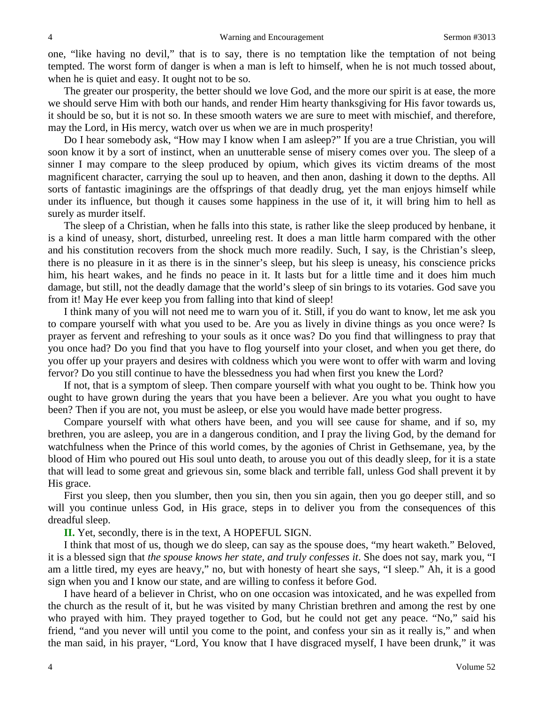one, "like having no devil," that is to say, there is no temptation like the temptation of not being tempted. The worst form of danger is when a man is left to himself, when he is not much tossed about, when he is quiet and easy. It ought not to be so.

The greater our prosperity, the better should we love God, and the more our spirit is at ease, the more we should serve Him with both our hands, and render Him hearty thanksgiving for His favor towards us, it should be so, but it is not so. In these smooth waters we are sure to meet with mischief, and therefore, may the Lord, in His mercy, watch over us when we are in much prosperity!

Do I hear somebody ask, "How may I know when I am asleep?" If you are a true Christian, you will soon know it by a sort of instinct, when an unutterable sense of misery comes over you. The sleep of a sinner I may compare to the sleep produced by opium, which gives its victim dreams of the most magnificent character, carrying the soul up to heaven, and then anon, dashing it down to the depths. All sorts of fantastic imaginings are the offsprings of that deadly drug, yet the man enjoys himself while under its influence, but though it causes some happiness in the use of it, it will bring him to hell as surely as murder itself.

The sleep of a Christian, when he falls into this state, is rather like the sleep produced by henbane, it is a kind of uneasy, short, disturbed, unreeling rest. It does a man little harm compared with the other and his constitution recovers from the shock much more readily. Such, I say, is the Christian's sleep, there is no pleasure in it as there is in the sinner's sleep, but his sleep is uneasy, his conscience pricks him, his heart wakes, and he finds no peace in it. It lasts but for a little time and it does him much damage, but still, not the deadly damage that the world's sleep of sin brings to its votaries. God save you from it! May He ever keep you from falling into that kind of sleep!

I think many of you will not need me to warn you of it. Still, if you do want to know, let me ask you to compare yourself with what you used to be. Are you as lively in divine things as you once were? Is prayer as fervent and refreshing to your souls as it once was? Do you find that willingness to pray that you once had? Do you find that you have to flog yourself into your closet, and when you get there, do you offer up your prayers and desires with coldness which you were wont to offer with warm and loving fervor? Do you still continue to have the blessedness you had when first you knew the Lord?

If not, that is a symptom of sleep. Then compare yourself with what you ought to be. Think how you ought to have grown during the years that you have been a believer. Are you what you ought to have been? Then if you are not, you must be asleep, or else you would have made better progress.

Compare yourself with what others have been, and you will see cause for shame, and if so, my brethren, you are asleep, you are in a dangerous condition, and I pray the living God, by the demand for watchfulness when the Prince of this world comes, by the agonies of Christ in Gethsemane, yea, by the blood of Him who poured out His soul unto death, to arouse you out of this deadly sleep, for it is a state that will lead to some great and grievous sin, some black and terrible fall, unless God shall prevent it by His grace.

First you sleep, then you slumber, then you sin, then you sin again, then you go deeper still, and so will you continue unless God, in His grace, steps in to deliver you from the consequences of this dreadful sleep.

**II.** Yet, secondly, there is in the text, A HOPEFUL SIGN.

I think that most of us, though we do sleep, can say as the spouse does, "my heart waketh." Beloved, it is a blessed sign that *the spouse knows her state, and truly confesses it*. She does not say, mark you, "I am a little tired, my eyes are heavy," no, but with honesty of heart she says, "I sleep." Ah, it is a good sign when you and I know our state, and are willing to confess it before God.

I have heard of a believer in Christ, who on one occasion was intoxicated, and he was expelled from the church as the result of it, but he was visited by many Christian brethren and among the rest by one who prayed with him. They prayed together to God, but he could not get any peace. "No," said his friend, "and you never will until you come to the point, and confess your sin as it really is," and when the man said, in his prayer, "Lord, You know that I have disgraced myself, I have been drunk," it was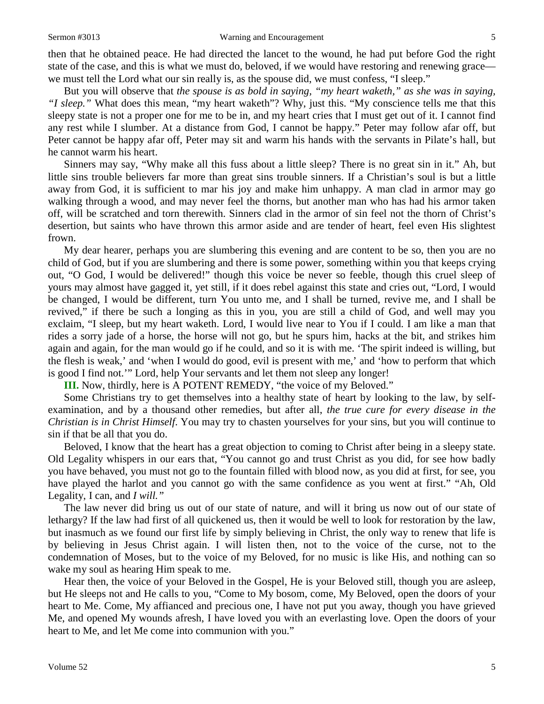then that he obtained peace. He had directed the lancet to the wound, he had put before God the right state of the case, and this is what we must do, beloved, if we would have restoring and renewing grace we must tell the Lord what our sin really is, as the spouse did, we must confess, "I sleep."

But you will observe that *the spouse is as bold in saying, "my heart waketh," as she was in saying, "I sleep."* What does this mean, "my heart waketh"? Why, just this. "My conscience tells me that this sleepy state is not a proper one for me to be in, and my heart cries that I must get out of it. I cannot find any rest while I slumber. At a distance from God, I cannot be happy." Peter may follow afar off, but Peter cannot be happy afar off, Peter may sit and warm his hands with the servants in Pilate's hall, but he cannot warm his heart.

Sinners may say, "Why make all this fuss about a little sleep? There is no great sin in it." Ah, but little sins trouble believers far more than great sins trouble sinners. If a Christian's soul is but a little away from God, it is sufficient to mar his joy and make him unhappy. A man clad in armor may go walking through a wood, and may never feel the thorns, but another man who has had his armor taken off, will be scratched and torn therewith. Sinners clad in the armor of sin feel not the thorn of Christ's desertion, but saints who have thrown this armor aside and are tender of heart, feel even His slightest frown.

My dear hearer, perhaps you are slumbering this evening and are content to be so, then you are no child of God, but if you are slumbering and there is some power, something within you that keeps crying out, "O God, I would be delivered!" though this voice be never so feeble, though this cruel sleep of yours may almost have gagged it, yet still, if it does rebel against this state and cries out, "Lord, I would be changed, I would be different, turn You unto me, and I shall be turned, revive me, and I shall be revived," if there be such a longing as this in you, you are still a child of God, and well may you exclaim, "I sleep, but my heart waketh. Lord, I would live near to You if I could. I am like a man that rides a sorry jade of a horse, the horse will not go, but he spurs him, hacks at the bit, and strikes him again and again, for the man would go if he could, and so it is with me. 'The spirit indeed is willing, but the flesh is weak,' and 'when I would do good, evil is present with me,' and 'how to perform that which is good I find not.'" Lord, help Your servants and let them not sleep any longer!

**III.** Now, thirdly, here is A POTENT REMEDY, "the voice of my Beloved."

Some Christians try to get themselves into a healthy state of heart by looking to the law, by selfexamination, and by a thousand other remedies, but after all, *the true cure for every disease in the Christian is in Christ Himself*. You may try to chasten yourselves for your sins, but you will continue to sin if that be all that you do.

Beloved, I know that the heart has a great objection to coming to Christ after being in a sleepy state. Old Legality whispers in our ears that, "You cannot go and trust Christ as you did, for see how badly you have behaved, you must not go to the fountain filled with blood now, as you did at first, for see, you have played the harlot and you cannot go with the same confidence as you went at first." "Ah, Old Legality, I can, and *I will."*

The law never did bring us out of our state of nature, and will it bring us now out of our state of lethargy? If the law had first of all quickened us, then it would be well to look for restoration by the law, but inasmuch as we found our first life by simply believing in Christ, the only way to renew that life is by believing in Jesus Christ again. I will listen then, not to the voice of the curse, not to the condemnation of Moses, but to the voice of my Beloved, for no music is like His, and nothing can so wake my soul as hearing Him speak to me.

Hear then, the voice of your Beloved in the Gospel, He is your Beloved still, though you are asleep, but He sleeps not and He calls to you, "Come to My bosom, come, My Beloved, open the doors of your heart to Me. Come, My affianced and precious one, I have not put you away, though you have grieved Me, and opened My wounds afresh, I have loved you with an everlasting love. Open the doors of your heart to Me, and let Me come into communion with you."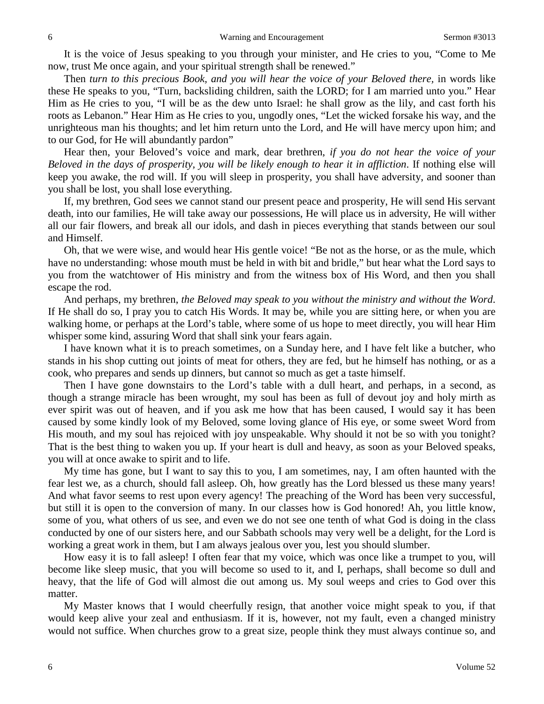It is the voice of Jesus speaking to you through your minister, and He cries to you, "Come to Me now, trust Me once again, and your spiritual strength shall be renewed."

Then *turn to this precious Book, and you will hear the voice of your Beloved there,* in words like these He speaks to you, "Turn, backsliding children, saith the LORD; for I am married unto you." Hear Him as He cries to you, "I will be as the dew unto Israel: he shall grow as the lily, and cast forth his roots as Lebanon." Hear Him as He cries to you, ungodly ones, "Let the wicked forsake his way, and the unrighteous man his thoughts; and let him return unto the Lord, and He will have mercy upon him; and to our God, for He will abundantly pardon"

Hear then, your Beloved's voice and mark, dear brethren, *if you do not hear the voice of your Beloved in the days of prosperity, you will be likely enough to hear it in affliction*. If nothing else will keep you awake, the rod will. If you will sleep in prosperity, you shall have adversity, and sooner than you shall be lost, you shall lose everything.

If, my brethren, God sees we cannot stand our present peace and prosperity, He will send His servant death, into our families, He will take away our possessions, He will place us in adversity, He will wither all our fair flowers, and break all our idols, and dash in pieces everything that stands between our soul and Himself.

Oh, that we were wise, and would hear His gentle voice! "Be not as the horse, or as the mule, which have no understanding: whose mouth must be held in with bit and bridle," but hear what the Lord says to you from the watchtower of His ministry and from the witness box of His Word, and then you shall escape the rod.

And perhaps, my brethren, *the Beloved may speak to you without the ministry and without the Word*. If He shall do so, I pray you to catch His Words. It may be, while you are sitting here, or when you are walking home, or perhaps at the Lord's table, where some of us hope to meet directly, you will hear Him whisper some kind, assuring Word that shall sink your fears again.

I have known what it is to preach sometimes, on a Sunday here, and I have felt like a butcher, who stands in his shop cutting out joints of meat for others, they are fed, but he himself has nothing, or as a cook, who prepares and sends up dinners, but cannot so much as get a taste himself.

Then I have gone downstairs to the Lord's table with a dull heart, and perhaps, in a second, as though a strange miracle has been wrought, my soul has been as full of devout joy and holy mirth as ever spirit was out of heaven, and if you ask me how that has been caused, I would say it has been caused by some kindly look of my Beloved, some loving glance of His eye, or some sweet Word from His mouth, and my soul has rejoiced with joy unspeakable. Why should it not be so with you tonight? That is the best thing to waken you up. If your heart is dull and heavy, as soon as your Beloved speaks, you will at once awake to spirit and to life.

My time has gone, but I want to say this to you, I am sometimes, nay, I am often haunted with the fear lest we, as a church, should fall asleep. Oh, how greatly has the Lord blessed us these many years! And what favor seems to rest upon every agency! The preaching of the Word has been very successful, but still it is open to the conversion of many. In our classes how is God honored! Ah, you little know, some of you, what others of us see, and even we do not see one tenth of what God is doing in the class conducted by one of our sisters here, and our Sabbath schools may very well be a delight, for the Lord is working a great work in them, but I am always jealous over you, lest you should slumber.

How easy it is to fall asleep! I often fear that my voice, which was once like a trumpet to you, will become like sleep music, that you will become so used to it, and I, perhaps, shall become so dull and heavy, that the life of God will almost die out among us. My soul weeps and cries to God over this matter.

My Master knows that I would cheerfully resign, that another voice might speak to you, if that would keep alive your zeal and enthusiasm. If it is, however, not my fault, even a changed ministry would not suffice. When churches grow to a great size, people think they must always continue so, and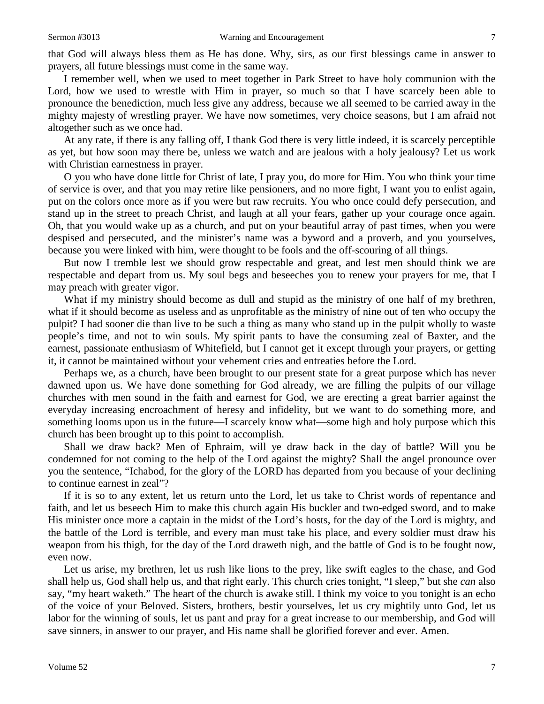that God will always bless them as He has done. Why, sirs, as our first blessings came in answer to prayers, all future blessings must come in the same way.

I remember well, when we used to meet together in Park Street to have holy communion with the Lord, how we used to wrestle with Him in prayer, so much so that I have scarcely been able to pronounce the benediction, much less give any address, because we all seemed to be carried away in the mighty majesty of wrestling prayer. We have now sometimes, very choice seasons, but I am afraid not altogether such as we once had.

At any rate, if there is any falling off, I thank God there is very little indeed, it is scarcely perceptible as yet, but how soon may there be, unless we watch and are jealous with a holy jealousy? Let us work with Christian earnestness in prayer.

O you who have done little for Christ of late, I pray you, do more for Him. You who think your time of service is over, and that you may retire like pensioners, and no more fight, I want you to enlist again, put on the colors once more as if you were but raw recruits. You who once could defy persecution, and stand up in the street to preach Christ, and laugh at all your fears, gather up your courage once again. Oh, that you would wake up as a church, and put on your beautiful array of past times, when you were despised and persecuted, and the minister's name was a byword and a proverb, and you yourselves, because you were linked with him, were thought to be fools and the off-scouring of all things.

But now I tremble lest we should grow respectable and great, and lest men should think we are respectable and depart from us. My soul begs and beseeches you to renew your prayers for me, that I may preach with greater vigor.

What if my ministry should become as dull and stupid as the ministry of one half of my brethren, what if it should become as useless and as unprofitable as the ministry of nine out of ten who occupy the pulpit? I had sooner die than live to be such a thing as many who stand up in the pulpit wholly to waste people's time, and not to win souls. My spirit pants to have the consuming zeal of Baxter, and the earnest, passionate enthusiasm of Whitefield, but I cannot get it except through your prayers, or getting it, it cannot be maintained without your vehement cries and entreaties before the Lord.

Perhaps we, as a church, have been brought to our present state for a great purpose which has never dawned upon us. We have done something for God already, we are filling the pulpits of our village churches with men sound in the faith and earnest for God, we are erecting a great barrier against the everyday increasing encroachment of heresy and infidelity, but we want to do something more, and something looms upon us in the future—I scarcely know what—some high and holy purpose which this church has been brought up to this point to accomplish.

Shall we draw back? Men of Ephraim, will ye draw back in the day of battle? Will you be condemned for not coming to the help of the Lord against the mighty? Shall the angel pronounce over you the sentence, "Ichabod, for the glory of the LORD has departed from you because of your declining to continue earnest in zeal"?

If it is so to any extent, let us return unto the Lord, let us take to Christ words of repentance and faith, and let us beseech Him to make this church again His buckler and two-edged sword, and to make His minister once more a captain in the midst of the Lord's hosts, for the day of the Lord is mighty, and the battle of the Lord is terrible, and every man must take his place, and every soldier must draw his weapon from his thigh, for the day of the Lord draweth nigh, and the battle of God is to be fought now, even now.

Let us arise, my brethren, let us rush like lions to the prey, like swift eagles to the chase, and God shall help us, God shall help us, and that right early. This church cries tonight, "I sleep," but she *can* also say, "my heart waketh." The heart of the church is awake still. I think my voice to you tonight is an echo of the voice of your Beloved. Sisters, brothers, bestir yourselves, let us cry mightily unto God, let us labor for the winning of souls, let us pant and pray for a great increase to our membership, and God will save sinners, in answer to our prayer, and His name shall be glorified forever and ever. Amen.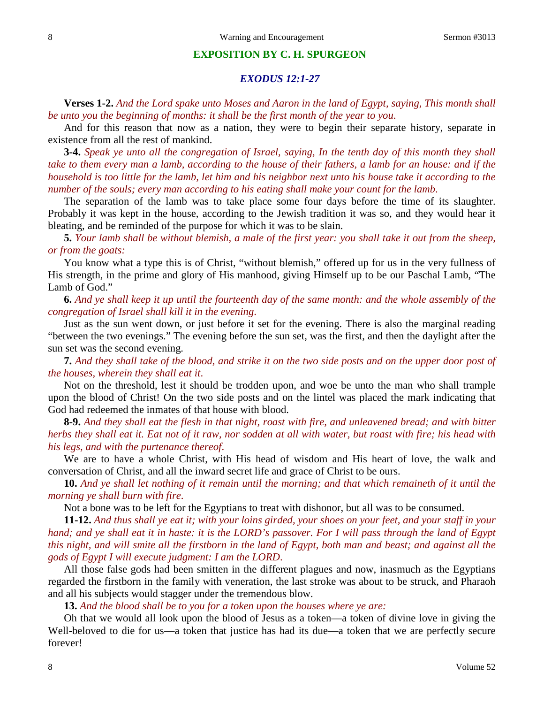## **EXPOSITION BY C. H. SPURGEON**

## *EXODUS 12:1-27*

**Verses 1-2.** *And the Lord spake unto Moses and Aaron in the land of Egypt, saying, This month shall be unto you the beginning of months: it shall be the first month of the year to you*.

And for this reason that now as a nation, they were to begin their separate history, separate in existence from all the rest of mankind.

**3-4.** *Speak ye unto all the congregation of Israel, saying, In the tenth day of this month they shall take to them every man a lamb, according to the house of their fathers, a lamb for an house: and if the household is too little for the lamb, let him and his neighbor next unto his house take it according to the number of the souls; every man according to his eating shall make your count for the lamb*.

The separation of the lamb was to take place some four days before the time of its slaughter. Probably it was kept in the house, according to the Jewish tradition it was so, and they would hear it bleating, and be reminded of the purpose for which it was to be slain.

**5.** *Your lamb shall be without blemish, a male of the first year: you shall take it out from the sheep, or from the goats:*

You know what a type this is of Christ, "without blemish," offered up for us in the very fullness of His strength, in the prime and glory of His manhood, giving Himself up to be our Paschal Lamb, "The Lamb of God."

**6.** *And ye shall keep it up until the fourteenth day of the same month: and the whole assembly of the congregation of Israel shall kill it in the evening*.

Just as the sun went down, or just before it set for the evening. There is also the marginal reading "between the two evenings." The evening before the sun set, was the first, and then the daylight after the sun set was the second evening.

**7.** *And they shall take of the blood, and strike it on the two side posts and on the upper door post of the houses, wherein they shall eat it*.

Not on the threshold, lest it should be trodden upon, and woe be unto the man who shall trample upon the blood of Christ! On the two side posts and on the lintel was placed the mark indicating that God had redeemed the inmates of that house with blood.

**8-9.** *And they shall eat the flesh in that night, roast with fire, and unleavened bread; and with bitter herbs they shall eat it. Eat not of it raw, nor sodden at all with water, but roast with fire; his head with his legs, and with the purtenance thereof*.

We are to have a whole Christ, with His head of wisdom and His heart of love, the walk and conversation of Christ, and all the inward secret life and grace of Christ to be ours.

**10.** *And ye shall let nothing of it remain until the morning; and that which remaineth of it until the morning ye shall burn with fire*.

Not a bone was to be left for the Egyptians to treat with dishonor, but all was to be consumed.

**11-12.** *And thus shall ye eat it; with your loins girded, your shoes on your feet, and your staff in your hand; and ye shall eat it in haste: it is the LORD's passover. For I will pass through the land of Egypt this night, and will smite all the firstborn in the land of Egypt, both man and beast; and against all the gods of Egypt I will execute judgment: I am the LORD*.

All those false gods had been smitten in the different plagues and now, inasmuch as the Egyptians regarded the firstborn in the family with veneration, the last stroke was about to be struck, and Pharaoh and all his subjects would stagger under the tremendous blow.

**13.** *And the blood shall be to you for a token upon the houses where ye are:*

Oh that we would all look upon the blood of Jesus as a token—a token of divine love in giving the Well-beloved to die for us—a token that justice has had its due—a token that we are perfectly secure forever!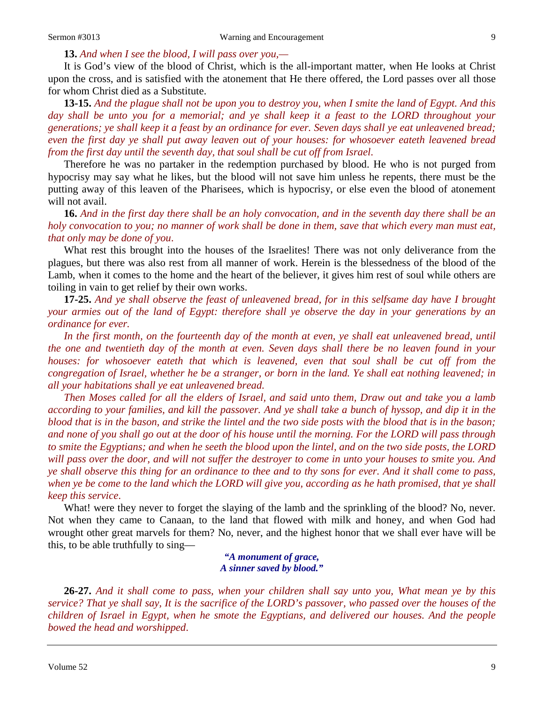**13.** *And when I see the blood, I will pass over you,—*

It is God's view of the blood of Christ, which is the all-important matter, when He looks at Christ upon the cross, and is satisfied with the atonement that He there offered, the Lord passes over all those for whom Christ died as a Substitute.

**13-15.** *And the plague shall not be upon you to destroy you, when I smite the land of Egypt. And this day shall be unto you for a memorial; and ye shall keep it a feast to the LORD throughout your generations; ye shall keep it a feast by an ordinance for ever. Seven days shall ye eat unleavened bread; even the first day ye shall put away leaven out of your houses: for whosoever eateth leavened bread from the first day until the seventh day, that soul shall be cut off from Israel*.

Therefore he was no partaker in the redemption purchased by blood. He who is not purged from hypocrisy may say what he likes, but the blood will not save him unless he repents, there must be the putting away of this leaven of the Pharisees, which is hypocrisy, or else even the blood of atonement will not avail.

**16.** *And in the first day there shall be an holy convocation, and in the seventh day there shall be an holy convocation to you; no manner of work shall be done in them, save that which every man must eat, that only may be done of you*.

What rest this brought into the houses of the Israelites! There was not only deliverance from the plagues, but there was also rest from all manner of work. Herein is the blessedness of the blood of the Lamb, when it comes to the home and the heart of the believer, it gives him rest of soul while others are toiling in vain to get relief by their own works.

**17-25.** *And ye shall observe the feast of unleavened bread, for in this selfsame day have I brought your armies out of the land of Egypt: therefore shall ye observe the day in your generations by an ordinance for ever.* 

*In the first month, on the fourteenth day of the month at even, ye shall eat unleavened bread, until the one and twentieth day of the month at even. Seven days shall there be no leaven found in your houses: for whosoever eateth that which is leavened, even that soul shall be cut off from the congregation of Israel, whether he be a stranger, or born in the land. Ye shall eat nothing leavened; in all your habitations shall ye eat unleavened bread.* 

*Then Moses called for all the elders of Israel, and said unto them, Draw out and take you a lamb according to your families, and kill the passover. And ye shall take a bunch of hyssop, and dip it in the blood that is in the bason, and strike the lintel and the two side posts with the blood that is in the bason; and none of you shall go out at the door of his house until the morning. For the LORD will pass through to smite the Egyptians; and when he seeth the blood upon the lintel, and on the two side posts, the LORD will pass over the door, and will not suffer the destroyer to come in unto your houses to smite you. And ye shall observe this thing for an ordinance to thee and to thy sons for ever. And it shall come to pass, when ye be come to the land which the LORD will give you, according as he hath promised, that ye shall keep this service*.

What! were they never to forget the slaying of the lamb and the sprinkling of the blood? No, never. Not when they came to Canaan, to the land that flowed with milk and honey, and when God had wrought other great marvels for them? No, never, and the highest honor that we shall ever have will be this, to be able truthfully to sing—

*"A monument of grace, A sinner saved by blood."*

**26-27.** *And it shall come to pass, when your children shall say unto you, What mean ye by this service? That ye shall say, It is the sacrifice of the LORD's passover, who passed over the houses of the children of Israel in Egypt, when he smote the Egyptians, and delivered our houses. And the people bowed the head and worshipped*.